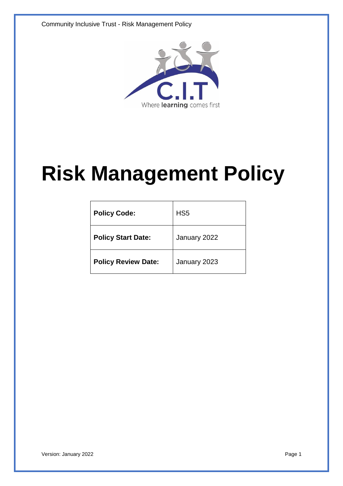

# **Risk Management Policy**

| <b>Policy Code:</b>        | HS <sub>5</sub> |  |
|----------------------------|-----------------|--|
| <b>Policy Start Date:</b>  | January 2022    |  |
| <b>Policy Review Date:</b> | January 2023    |  |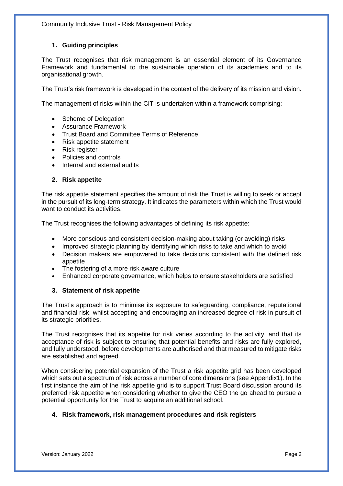## **1. Guiding principles**

The Trust recognises that risk management is an essential element of its Governance Framework and fundamental to the sustainable operation of its academies and to its organisational growth.

The Trust's risk framework is developed in the context of the delivery of its mission and vision.

The management of risks within the CIT is undertaken within a framework comprising:

- Scheme of Delegation
- Assurance Framework
- Trust Board and Committee Terms of Reference
- Risk appetite statement
- Risk register
- Policies and controls
- Internal and external audits

#### **2. Risk appetite**

The risk appetite statement specifies the amount of risk the Trust is willing to seek or accept in the pursuit of its long-term strategy. It indicates the parameters within which the Trust would want to conduct its activities.

The Trust recognises the following advantages of defining its risk appetite:

- More conscious and consistent decision-making about taking (or avoiding) risks
- Improved strategic planning by identifying which risks to take and which to avoid
- Decision makers are empowered to take decisions consistent with the defined risk appetite
- The fostering of a more risk aware culture
- Enhanced corporate governance, which helps to ensure stakeholders are satisfied

#### **3. Statement of risk appetite**

The Trust's approach is to minimise its exposure to safeguarding, compliance, reputational and financial risk, whilst accepting and encouraging an increased degree of risk in pursuit of its strategic priorities.

The Trust recognises that its appetite for risk varies according to the activity, and that its acceptance of risk is subject to ensuring that potential benefits and risks are fully explored, and fully understood, before developments are authorised and that measured to mitigate risks are established and agreed.

When considering potential expansion of the Trust a risk appetite grid has been developed which sets out a spectrum of risk across a number of core dimensions (see Appendix1). In the first instance the aim of the risk appetite grid is to support Trust Board discussion around its preferred risk appetite when considering whether to give the CEO the go ahead to pursue a potential opportunity for the Trust to acquire an additional school.

#### **4. Risk framework, risk management procedures and risk registers**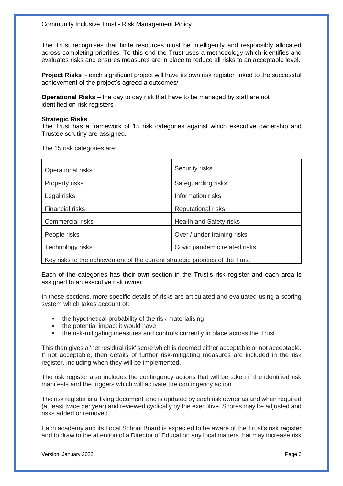The Trust recognises that finite resources must be intelligently and responsibly allocated across completing priorities. To this end the Trust uses a methodology which identifies and evaluates risks and ensures measures are in place to reduce all risks to an acceptable level.

**Project Risks** - each significant project will have its own risk register linked to the successful achievement of the project's agreed a outcomes/

**Operational Risks –** the day to day risk that have to be managed by staff are not identified on risk registers

#### **Strategic Risks**

The Trust has a framework of 15 risk categories against which executive ownership and Trustee scrutiny are assigned.

The 15 risk categories are:

| <b>Operational risks</b>                                                      | Security risks               |  |  |  |
|-------------------------------------------------------------------------------|------------------------------|--|--|--|
| <b>Property risks</b>                                                         | Safeguarding risks           |  |  |  |
| Legal risks                                                                   | Information risks            |  |  |  |
| <b>Financial risks</b>                                                        | <b>Reputational risks</b>    |  |  |  |
| <b>Commercial risks</b>                                                       | Health and Safety risks      |  |  |  |
| People risks                                                                  | Over / under training risks  |  |  |  |
| Technology risks                                                              | Covid pandemic related risks |  |  |  |
| Key risks to the achievement of the current strategic priorities of the Trust |                              |  |  |  |

Each of the categories has their own section in the Trust's risk register and each area is assigned to an executive risk owner.

In these sections, more specific details of risks are articulated and evaluated using a scoring system which takes account of:

- the hypothetical probability of the risk materialising
- the potential impact it would have
- the risk-mitigating measures and controls currently in place across the Trust

This then gives a 'net residual risk' score which is deemed either acceptable or not acceptable. If not acceptable, then details of further risk-mitigating measures are included in the risk register, including when they will be implemented.

The risk register also includes the contingency actions that will be taken if the identified risk manifests and the triggers which will activate the contingency action.

The risk register is a 'living document' and is updated by each risk owner as and when required (at least twice per year) and reviewed cyclically by the executive. Scores may be adjusted and risks added or removed.

Each academy and its Local School Board is expected to be aware of the Trust's risk register and to draw to the attention of a Director of Education any local matters that may increase risk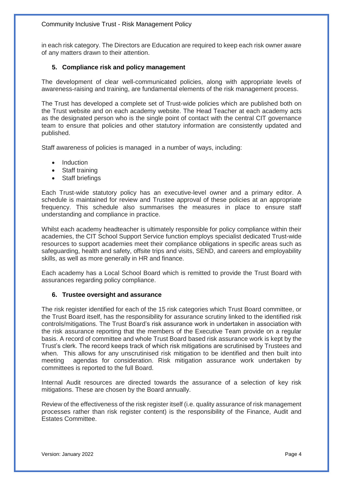in each risk category. The Directors are Education are required to keep each risk owner aware of any matters drawn to their attention.

### **5. Compliance risk and policy management**

The development of clear well-communicated policies, along with appropriate levels of awareness-raising and training, are fundamental elements of the risk management process.

The Trust has developed a complete set of Trust-wide policies which are published both on the Trust website and on each academy website. The Head Teacher at each academy acts as the designated person who is the single point of contact with the central CIT governance team to ensure that policies and other statutory information are consistently updated and published.

Staff awareness of policies is managed in a number of ways, including:

- Induction
- Staff training
- Staff briefings

Each Trust-wide statutory policy has an executive-level owner and a primary editor. A schedule is maintained for review and Trustee approval of these policies at an appropriate frequency. This schedule also summarises the measures in place to ensure staff understanding and compliance in practice.

Whilst each academy headteacher is ultimately responsible for policy compliance within their academies, the CIT School Support Service function employs specialist dedicated Trust-wide resources to support academies meet their compliance obligations in specific areas such as safeguarding, health and safety, offsite trips and visits, SEND, and careers and employability skills, as well as more generally in HR and finance.

Each academy has a Local School Board which is remitted to provide the Trust Board with assurances regarding policy compliance.

#### **6. Trustee oversight and assurance**

The risk register identified for each of the 15 risk categories which Trust Board committee, or the Trust Board itself, has the responsibility for assurance scrutiny linked to the identified risk controls/mitigations. The Trust Board's risk assurance work in undertaken in association with the risk assurance reporting that the members of the Executive Team provide on a regular basis. A record of committee and whole Trust Board based risk assurance work is kept by the Trust's clerk. The record keeps track of which risk mitigations are scrutinised by Trustees and when. This allows for any unscrutinised risk mitigation to be identified and then built into meeting agendas for consideration. Risk mitigation assurance work undertaken by committees is reported to the full Board.

Internal Audit resources are directed towards the assurance of a selection of key risk mitigations. These are chosen by the Board annually.

Review of the effectiveness of the risk register itself (i.e. quality assurance of risk management processes rather than risk register content) is the responsibility of the Finance, Audit and Estates Committee.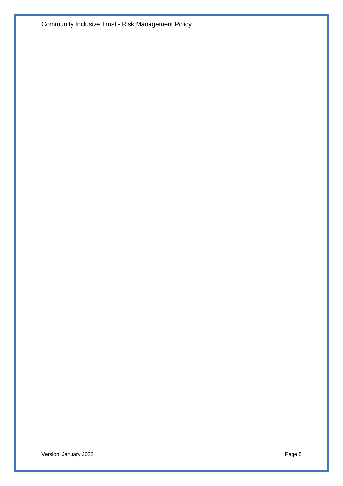Version: January 2022 **Page 5**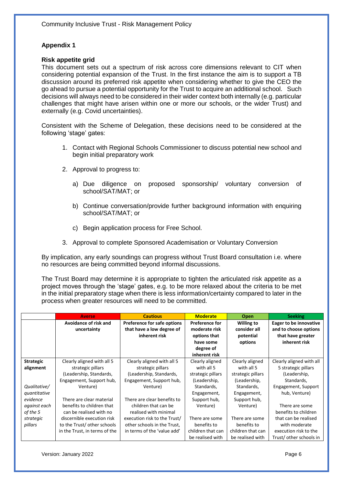## **Appendix 1**

#### **Risk appetite grid**

This document sets out a spectrum of risk across core dimensions relevant to CIT when considering potential expansion of the Trust. In the first instance the aim is to support a TB discussion around its preferred risk appetite when considering whether to give the CEO the go ahead to pursue a potential opportunity for the Trust to acquire an additional school. Such decisions will always need to be considered in their wider context both internally (e.g. particular challenges that might have arisen within one or more our schools, or the wider Trust) and externally (e.g. Covid uncertainties).

Consistent with the Scheme of Delegation, these decisions need to be considered at the following 'stage' gates:

- 1. Contact with Regional Schools Commissioner to discuss potential new school and begin initial preparatory work
- 2. Approval to progress to:
	- a) Due diligence on proposed sponsorship/ voluntary conversion of school/SAT/MAT; or
	- b) Continue conversation/provide further background information with enquiring school/SAT/MAT; or
	- c) Begin application process for Free School.
- 3. Approval to complete Sponsored Academisation or Voluntary Conversion

By implication, any early soundings can progress without Trust Board consultation i.e. where no resources are being committed beyond informal discussions.

The Trust Board may determine it is appropriate to tighten the articulated risk appetite as a project moves through the 'stage' gates, e.g. to be more relaxed about the criteria to be met in the initial preparatory stage when there is less information/certainty compared to later in the process when greater resources will need to be committed.

|                  | <b>Averse</b>                 | <b>Cautious</b>              | <b>Moderate</b>       | <b>Open</b>       | <b>Seeking</b>           |
|------------------|-------------------------------|------------------------------|-----------------------|-------------------|--------------------------|
|                  | Avoidance of risk and         | Preference for safe options  | <b>Preference for</b> | <b>Willing to</b> | Eager to be innovative   |
|                  | uncertainty                   | that have a low degree of    | moderate risk         | consider all      | and to choose options    |
|                  |                               | inherent risk                | options that          | potential         | that have greater        |
|                  |                               |                              | have some             | options           | inherent risk            |
|                  |                               |                              | degree of             |                   |                          |
|                  |                               |                              | inherent risk         |                   |                          |
| <b>Strategic</b> | Clearly aligned with all 5    | Clearly aligned with all 5   | Clearly aligned       | Clearly aligned   | Clearly aligned with all |
| alignment        | strategic pillars             | strategic pillars            | with all 5            | with all 5        | 5 strategic pillars      |
|                  | (Leadership, Standards,       | (Leadership, Standards,      | strategic pillars     | strategic pillars | (Leadership,             |
|                  | Engagement, Support hub,      | Engagement, Support hub,     | (Leadership,          | (Leadership,      | Standards,               |
| Qualitative/     | Venture)                      | Venture)                     | Standards,            | Standards,        | Engagement, Support      |
| quantitative     |                               |                              | Engagement,           | Engagement,       | hub, Venture)            |
| evidence         | There are clear material      | There are clear benefits to  | Support hub,          | Support hub,      |                          |
| against each     | benefits to children that     | children that can be         | Venture)              | Venture)          | There are some           |
| of the 5         | can be realised with no       | realised with minimal        |                       |                   | benefits to children     |
| strategic        | discernible execution risk    | execution risk to the Trust/ | There are some        | There are some    | that can be realised     |
| pillars          | to the Trust/other schools    | other schools in the Trust,  | benefits to           | benefits to       | with moderate            |
|                  | in the Trust, in terms of the | in terms of the 'value add'  | children that can     | children that can | execution risk to the    |
|                  |                               |                              | be realised with      | be realised with  | Trust/other schools in   |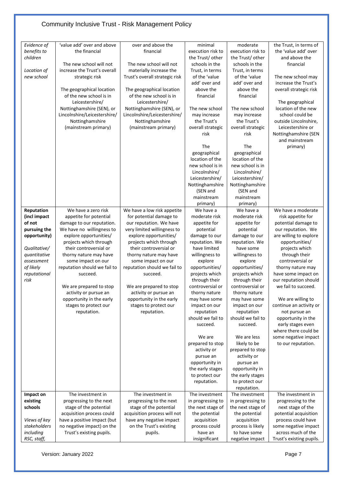| Evidence of               | 'value add' over and above                                | over and above the                                        | minimal                          | moderate                         | the Trust, in terms of                   |
|---------------------------|-----------------------------------------------------------|-----------------------------------------------------------|----------------------------------|----------------------------------|------------------------------------------|
| benefits to               | the financial                                             | financial                                                 | execution risk to                | execution risk to                | the 'value add' over                     |
| children                  |                                                           |                                                           | the Trust/ other                 | the Trust/ other                 | and above the                            |
|                           | The new school will not                                   | The new school will not                                   | schools in the                   | schools in the                   | financial                                |
| Location of               | increase the Trust's overall                              | materially increase the                                   | Trust, in terms                  | Trust, in terms                  |                                          |
| new school                | strategic risk                                            | Trust's overall strategic risk                            | of the 'value                    | of the 'value                    | The new school may                       |
|                           |                                                           |                                                           | add' over and                    | add' over and                    | increase the Trust's                     |
|                           | The geographical location                                 | The geographical location                                 | above the                        | above the                        | overall strategic risk                   |
|                           | of the new school is in<br>Leicestershire/                | of the new school is in<br>Leicestershire/                | financial                        | financial                        |                                          |
|                           |                                                           |                                                           | The new school                   | The new school                   | The geographical<br>location of the new  |
|                           | Nottinghamshire (SEN), or<br>Lincolnshire/Leicestershire/ | Nottinghamshire (SEN), or<br>Lincolnshire/Leicestershire/ |                                  |                                  | school could be                          |
|                           | Nottinghamshire                                           | Nottinghamshire                                           | may increase<br>the Trust's      | may increase<br>the Trust's      | outside Lincolnshire,                    |
|                           | (mainstream primary)                                      | (mainstream primary)                                      | overall strategic                | overall strategic                | Leicestershire or                        |
|                           |                                                           |                                                           | risk                             | risk                             | Nottinghamshire (SEN                     |
|                           |                                                           |                                                           |                                  |                                  | and mainstream                           |
|                           |                                                           |                                                           | The                              | The                              | primary)                                 |
|                           |                                                           |                                                           | geographical                     | geographical                     |                                          |
|                           |                                                           |                                                           | location of the                  | location of the                  |                                          |
|                           |                                                           |                                                           | new school is in                 | new school is in                 |                                          |
|                           |                                                           |                                                           | Lincolnshire/                    | Lincolnshire/                    |                                          |
|                           |                                                           |                                                           | Leicestershire/                  | Leicestershire/                  |                                          |
|                           |                                                           |                                                           | Nottinghamshire                  | Nottinghamshire                  |                                          |
|                           |                                                           |                                                           | (SEN and                         | (SEN and                         |                                          |
|                           |                                                           |                                                           | mainstream                       | mainstream                       |                                          |
|                           |                                                           |                                                           | primary)                         | primary)                         |                                          |
| Reputation                | We have a zero risk                                       | We have a low risk appetite                               | We have a                        | We have a                        | We have a moderate                       |
| (incl impact              | appetite for potential                                    | for potential damage to                                   | moderate risk                    | moderate risk                    | risk appetite for                        |
| of not                    | damage to our reputation.                                 | our reputation. We have                                   | appetite for                     | appetite for                     | potential damage to                      |
| pursuing the              | We have no willingness to                                 | very limited willingness to                               | potential                        | potential                        | our reputation. We                       |
| opportunity)              | explore opportunities/                                    | explore opportunities/                                    | damage to our                    | damage to our                    | are willing to explore                   |
|                           | projects which through                                    | projects which through                                    | reputation. We                   | reputation. We                   | opportunities/                           |
| Qualitative/              | their controversial or                                    | their controversial or                                    | have limited                     | have some                        | projects which                           |
| quantitative              | thorny nature may have                                    | thorny nature may have                                    | willingness to                   | willingness to                   | through their                            |
| assessment                | some impact on our                                        | some impact on our                                        | explore                          | explore                          | controversial or                         |
| of likely<br>reputational | reputation should we fail to<br>succeed.                  | reputation should we fail to<br>succeed.                  | opportunities/<br>projects which | opportunities/<br>projects which | thorny nature may<br>have some impact on |
| risk                      |                                                           |                                                           | through their                    | through their                    | our reputation should                    |
|                           | We are prepared to stop                                   | We are prepared to stop                                   | controversial or                 | controversial or                 | we fail to succeed.                      |
|                           | activity or pursue an                                     | activity or pursue an                                     | thorny nature                    | thorny nature                    |                                          |
|                           | opportunity in the early                                  | opportunity in the early                                  | may have some                    | may have some                    | We are willing to                        |
|                           | stages to protect our                                     | stages to protect our                                     | impact on our                    | impact on our                    | continue an activity or                  |
|                           | reputation.                                               | reputation.                                               | reputation                       | reputation                       | not pursue an                            |
|                           |                                                           |                                                           | should we fail to                | should we fail to                | opportunity in the                       |
|                           |                                                           |                                                           | succeed.                         | succeed.                         | early stages even                        |
|                           |                                                           |                                                           |                                  |                                  | where there could be                     |
|                           |                                                           |                                                           | We are                           | We are less                      | some negative impact                     |
|                           |                                                           |                                                           | prepared to stop                 | likely to be                     | to our reputation.                       |
|                           |                                                           |                                                           | activity or                      | prepared to stop                 |                                          |
|                           |                                                           |                                                           | pursue an                        | activity or                      |                                          |
|                           |                                                           |                                                           | opportunity in                   | pursue an                        |                                          |
|                           |                                                           |                                                           | the early stages                 | opportunity in                   |                                          |
|                           |                                                           |                                                           | to protect our                   | the early stages                 |                                          |
|                           |                                                           |                                                           | reputation.                      | to protect our                   |                                          |
|                           | The investment in                                         | The investment in                                         | The investment                   | reputation.<br>The investment    | The investment in                        |
| Impact on<br>existing     | progressing to the next                                   | progressing to the next                                   | in progressing to                | in progressing to                | progressing to the                       |
| schools                   | stage of the potential                                    | stage of the potential                                    | the next stage of                | the next stage of                | next stage of the                        |
|                           | acquisition process could                                 | acquisition process will not                              | the potential                    | the potential                    | potential acquisition                    |
| Views of key              | have a positive impact (but                               | have any negative impact                                  | acquisition                      | acquisition                      | process could have                       |
| stakeholders              | no negative impact) on the                                | on the Trust's existing                                   | process could                    | process is likely                | some negative impact                     |
| including                 | Trust's existing pupils.                                  | pupils.                                                   | have an                          | to have some                     | across much of the                       |
| RSC, staff,               |                                                           |                                                           | insignificant                    | negative impact                  | Trust's existing pupils.                 |

Version: January 2022 **Page 7**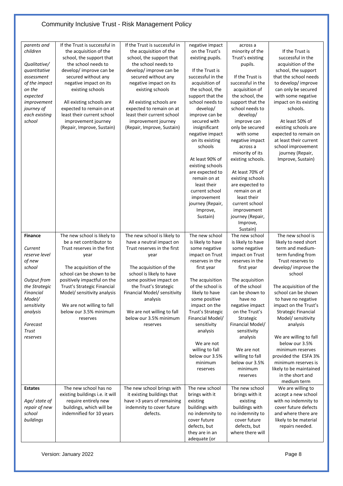| parents and<br>children<br>Qualitative/<br>quantitative<br>assessment<br>of the impact<br>on the<br>expected<br>improvement<br>journey of<br>each existing<br>school              | If the Trust is successful in<br>the acquisition of the<br>school, the support that<br>the school needs to<br>develop/improve can be<br>secured without any<br>negative impact on its<br>existing schools<br>All existing schools are<br>expected to remain on at<br>least their current school<br>improvement journey<br>(Repair, Improve, Sustain) | If the Trust is successful in<br>the acquisition of the<br>school, the support that<br>the school needs to<br>develop/improve can be<br>secured without any<br>negative impact on its<br>existing schools<br>All existing schools are<br>expected to remain on at<br>least their current school<br>improvement journey<br>(Repair, Improve, Sustain) | negative impact<br>on the Trust's<br>existing pupils.<br>If the Trust is<br>successful in the<br>acquisition of<br>the school, the<br>support that the<br>school needs to<br>develop/<br>improve can be<br>secured with<br>insignificant<br>negative impact<br>on its existing<br>schools<br>At least 90% of<br>existing schools<br>are expected to<br>remain on at<br>least their<br>current school<br>improvement<br>journey (Repair,<br>Improve,<br>Sustain) | across a<br>minority of the<br>Trust's existing<br>pupils.<br>If the Trust is<br>successful in the<br>acquisition of<br>the school, the<br>support that the<br>school needs to<br>develop/<br>improve can<br>only be secured<br>with some<br>negative impact<br>across a<br>minority of its<br>existing schools.<br>At least 70% of<br>existing schools<br>are expected to<br>remain on at<br>least their<br>current school<br>improvement<br>journey (Repair,<br>Improve,<br>Sustain) | If the Trust is<br>successful in the<br>acquisition of the<br>school, the support<br>that the school needs<br>to develop/ improve<br>can only be secured<br>with some negative<br>impact on its existing<br>schools.<br>At least 50% of<br>existing schools are<br>expected to remain on<br>at least their current<br>school improvement<br>journey (Repair,<br>Improve, Sustain)                                                                                        |
|-----------------------------------------------------------------------------------------------------------------------------------------------------------------------------------|------------------------------------------------------------------------------------------------------------------------------------------------------------------------------------------------------------------------------------------------------------------------------------------------------------------------------------------------------|------------------------------------------------------------------------------------------------------------------------------------------------------------------------------------------------------------------------------------------------------------------------------------------------------------------------------------------------------|-----------------------------------------------------------------------------------------------------------------------------------------------------------------------------------------------------------------------------------------------------------------------------------------------------------------------------------------------------------------------------------------------------------------------------------------------------------------|----------------------------------------------------------------------------------------------------------------------------------------------------------------------------------------------------------------------------------------------------------------------------------------------------------------------------------------------------------------------------------------------------------------------------------------------------------------------------------------|--------------------------------------------------------------------------------------------------------------------------------------------------------------------------------------------------------------------------------------------------------------------------------------------------------------------------------------------------------------------------------------------------------------------------------------------------------------------------|
| <b>Finance</b><br>Current<br>reserve level<br>of new<br>school<br>Output from<br>the Strategic<br>Financial<br>Model/<br>sensitivity<br>analysis<br>Forecast<br>Trust<br>reserves | The new school is likely to<br>be a net contributor to<br>Trust reserves in the first<br>year<br>The acquisition of the<br>school can be shown to be<br>positively impactful on the<br>Trust's Strategic Financial<br>Model/ sensitivity analysis<br>We are not willing to fall<br>below our 3.5% minimum<br>reserves                                | The new school is likely to<br>have a neutral impact on<br>Trust reserves in the first<br>year<br>The acquisition of the<br>school is likely to have<br>some positive impact on<br>the Trust's Strategic<br>Financial Model/ sensitivity<br>analysis<br>We are not willing to fall<br>below our 3.5% minimum<br>reserves                             | The new school<br>is likely to have<br>some negative<br>impact on Trust<br>reserves in the<br>first year<br>The acquisition<br>of the school is<br>likely to have<br>some positive<br>impact on the<br>Trust's Strategic<br>Financial Model/<br>sensitivity<br>analysis<br>We are not<br>willing to fall<br>below our 3.5%<br>minimum<br>reserves                                                                                                               | The new school<br>is likely to have<br>some negative<br>impact on Trust<br>reserves in the<br>first year<br>The acquisition<br>of the school<br>can be shown to<br>have no<br>negative impact<br>on the Trust's<br>Strategic<br>Financial Model/<br>sensitivity<br>analysis<br>We are not<br>willing to fall<br>below our 3.5%<br>minimum<br>reserves                                                                                                                                  | The new school is<br>likely to need short<br>term and medium-<br>term funding from<br>Trust reserves to<br>develop/ improve the<br>school<br>The acquisition of the<br>school can be shown<br>to have no negative<br>impact on the Trust's<br><b>Strategic Financial</b><br>Model/ sensitivity<br>analysis<br>We are willing to fall<br>below our 3.5%<br>minimum reserves<br>provided the ESFA 3%<br>minimum reserves is<br>likely to be maintained<br>in the short and |
| <b>Estates</b><br>Age/ state of<br>repair of new<br>school<br>buildings                                                                                                           | The new school has no<br>existing buildings i.e. it will<br>require entirely new<br>buildings, which will be<br>indemnified for 10 years                                                                                                                                                                                                             | The new school brings with<br>it existing buildings that<br>have >3 years of remaining<br>indemnity to cover future<br>defects.                                                                                                                                                                                                                      | The new school<br>brings with it<br>existing<br>buildings with<br>no indemnity to<br>cover future<br>defects, but<br>they are in an<br>adequate (or                                                                                                                                                                                                                                                                                                             | The new school<br>brings with it<br>existing<br>buildings with<br>no indemnity to<br>cover future<br>defects, but<br>where there will                                                                                                                                                                                                                                                                                                                                                  | medium term<br>We are willing to<br>accept a new school<br>with no indemnity to<br>cover future defects<br>and where there are<br>likely to be material<br>repairs needed.                                                                                                                                                                                                                                                                                               |